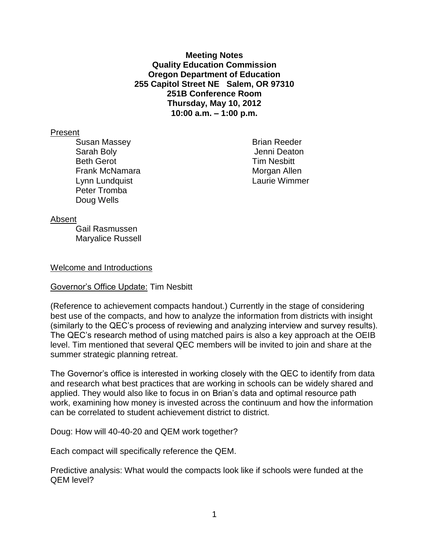**Meeting Notes Quality Education Commission Oregon Department of Education 255 Capitol Street NE Salem, OR 97310 251B Conference Room Thursday, May 10, 2012 10:00 a.m. – 1:00 p.m.**

#### Present

Susan Massey **Brian Reeder** Brian Reeder Sarah Boly Jenni Deaton Beth Gerot **Tim Nesbitt** Frank McNamara Morgan Allen Lynn Lundquist Laurie Wimmer Peter Tromba Doug Wells

#### Absent

Gail Rasmussen Maryalice Russell

#### Welcome and Introductions

#### Governor's Office Update: Tim Nesbitt

(Reference to achievement compacts handout.) Currently in the stage of considering best use of the compacts, and how to analyze the information from districts with insight (similarly to the QEC's process of reviewing and analyzing interview and survey results). The QEC's research method of using matched pairs is also a key approach at the OEIB level. Tim mentioned that several QEC members will be invited to join and share at the summer strategic planning retreat.

The Governor's office is interested in working closely with the QEC to identify from data and research what best practices that are working in schools can be widely shared and applied. They would also like to focus in on Brian's data and optimal resource path work, examining how money is invested across the continuum and how the information can be correlated to student achievement district to district.

Doug: How will 40-40-20 and QEM work together?

Each compact will specifically reference the QEM.

Predictive analysis: What would the compacts look like if schools were funded at the QEM level?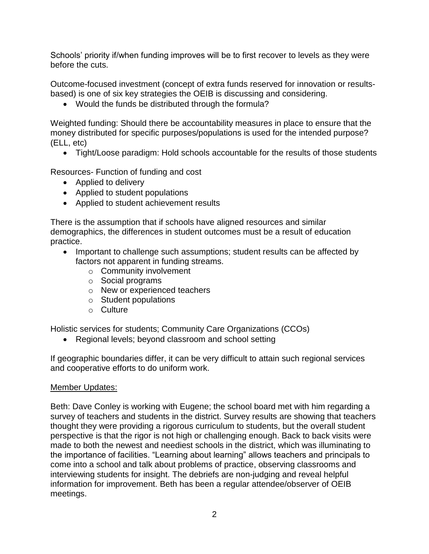Schools' priority if/when funding improves will be to first recover to levels as they were before the cuts.

Outcome-focused investment (concept of extra funds reserved for innovation or resultsbased) is one of six key strategies the OEIB is discussing and considering.

Would the funds be distributed through the formula?

Weighted funding: Should there be accountability measures in place to ensure that the money distributed for specific purposes/populations is used for the intended purpose? (ELL, etc)

Tight/Loose paradigm: Hold schools accountable for the results of those students

Resources- Function of funding and cost

- Applied to delivery
- Applied to student populations
- Applied to student achievement results

There is the assumption that if schools have aligned resources and similar demographics, the differences in student outcomes must be a result of education practice.

- Important to challenge such assumptions; student results can be affected by factors not apparent in funding streams.
	- o Community involvement
	- o Social programs
	- o New or experienced teachers
	- o Student populations
	- o Culture

Holistic services for students; Community Care Organizations (CCOs)

• Regional levels: beyond classroom and school setting

If geographic boundaries differ, it can be very difficult to attain such regional services and cooperative efforts to do uniform work.

## Member Updates:

Beth: Dave Conley is working with Eugene; the school board met with him regarding a survey of teachers and students in the district. Survey results are showing that teachers thought they were providing a rigorous curriculum to students, but the overall student perspective is that the rigor is not high or challenging enough. Back to back visits were made to both the newest and neediest schools in the district, which was illuminating to the importance of facilities. "Learning about learning" allows teachers and principals to come into a school and talk about problems of practice, observing classrooms and interviewing students for insight. The debriefs are non-judging and reveal helpful information for improvement. Beth has been a regular attendee/observer of OEIB meetings.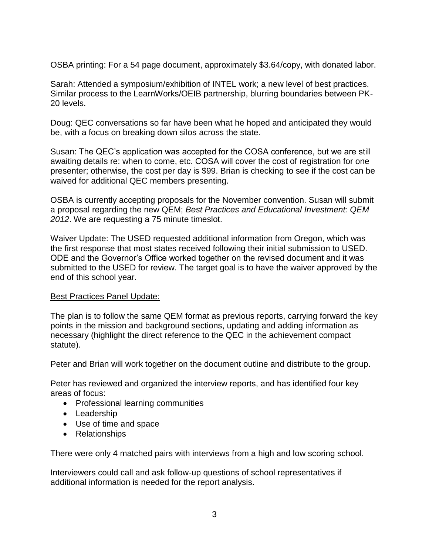OSBA printing: For a 54 page document, approximately \$3.64/copy, with donated labor.

Sarah: Attended a symposium/exhibition of INTEL work; a new level of best practices. Similar process to the LearnWorks/OEIB partnership, blurring boundaries between PK-20 levels.

Doug: QEC conversations so far have been what he hoped and anticipated they would be, with a focus on breaking down silos across the state.

Susan: The QEC's application was accepted for the COSA conference, but we are still awaiting details re: when to come, etc. COSA will cover the cost of registration for one presenter; otherwise, the cost per day is \$99. Brian is checking to see if the cost can be waived for additional QEC members presenting.

OSBA is currently accepting proposals for the November convention. Susan will submit a proposal regarding the new QEM; *Best Practices and Educational Investment: QEM 2012*. We are requesting a 75 minute timeslot.

Waiver Update: The USED requested additional information from Oregon, which was the first response that most states received following their initial submission to USED. ODE and the Governor's Office worked together on the revised document and it was submitted to the USED for review. The target goal is to have the waiver approved by the end of this school year.

### Best Practices Panel Update:

The plan is to follow the same QEM format as previous reports, carrying forward the key points in the mission and background sections, updating and adding information as necessary (highlight the direct reference to the QEC in the achievement compact statute).

Peter and Brian will work together on the document outline and distribute to the group.

Peter has reviewed and organized the interview reports, and has identified four key areas of focus:

- Professional learning communities
- Leadership
- Use of time and space
- Relationships

There were only 4 matched pairs with interviews from a high and low scoring school.

Interviewers could call and ask follow-up questions of school representatives if additional information is needed for the report analysis.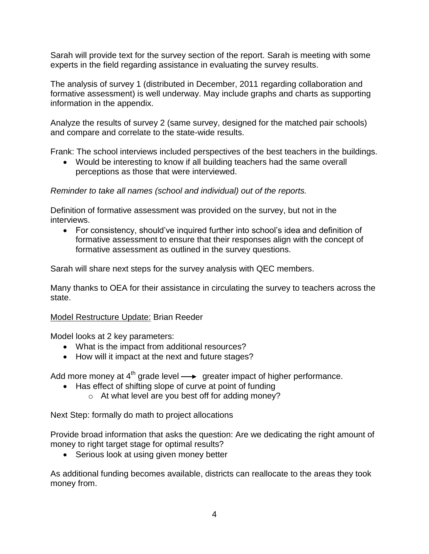Sarah will provide text for the survey section of the report. Sarah is meeting with some experts in the field regarding assistance in evaluating the survey results.

The analysis of survey 1 (distributed in December, 2011 regarding collaboration and formative assessment) is well underway. May include graphs and charts as supporting information in the appendix.

Analyze the results of survey 2 (same survey, designed for the matched pair schools) and compare and correlate to the state-wide results.

Frank: The school interviews included perspectives of the best teachers in the buildings.

 Would be interesting to know if all building teachers had the same overall perceptions as those that were interviewed.

# *Reminder to take all names (school and individual) out of the reports.*

Definition of formative assessment was provided on the survey, but not in the interviews.

 For consistency, should've inquired further into school's idea and definition of formative assessment to ensure that their responses align with the concept of formative assessment as outlined in the survey questions.

Sarah will share next steps for the survey analysis with QEC members.

Many thanks to OEA for their assistance in circulating the survey to teachers across the state.

## Model Restructure Update: Brian Reeder

Model looks at 2 key parameters:

- What is the impact from additional resources?
- How will it impact at the next and future stages?

Add more money at  $4<sup>th</sup>$  grade level  $\longrightarrow$  greater impact of higher performance.

- Has effect of shifting slope of curve at point of funding
	- o At what level are you best off for adding money?

Next Step: formally do math to project allocations

Provide broad information that asks the question: Are we dedicating the right amount of money to right target stage for optimal results?

• Serious look at using given money better

As additional funding becomes available, districts can reallocate to the areas they took money from.